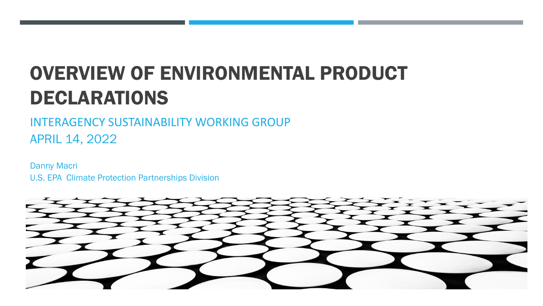# OVERVIEW OF ENVIRONMENTAL PRODUCT DECLARATIONS

INTERAGENCY SUSTAINABILITY WORKING GROUP APRIL 14, 2022

Danny Macri U.S. EPA Climate Protection Partnerships Division

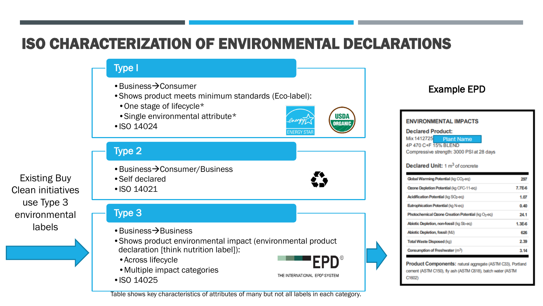### ISO CHARACTERIZATION OF ENVIRONMENTAL DECLARATIONS

Type I

- $\cdot$ Business $\rightarrow$ Consumer
- •Shows product meets minimum standards (Eco-label):
	- •One stage of lifecycle\*
	- •Single environmental attribute\*
- •ISO 14024



#### Type 2

Existing Buy Clean initiatives use Type 3 environmental labels

 $\cdot$  Business $\rightarrow$  Consumer/Business •Self declared • ISO 14021

#### Type 3

- $\cdot$ Business $\rightarrow$ Business
- •Shows product environmental impact (environmental product declaration [think nutrition label]):
	- •Across lifecycle
	- •Multiple impact categories
- ISO 14025

FPD®

THE INTERNATIONAL EPD® SYSTEM

Table shows key characteristics of attributes of many but not all labels in each category.

### Example EPD

| <b>ENVIRONMENTAL IMPACTS</b><br><b>Declared Product:</b><br>Mix 1412725<br><b>Plant Name</b><br>4P 470 C+F 15% BLEND<br>Compressive strength: 3000 PSI at 28 days<br><b>Declared Unit: 1 m<sup>3</sup> of concrete</b> |          |
|------------------------------------------------------------------------------------------------------------------------------------------------------------------------------------------------------------------------|----------|
| Global Warming Potential (kg CO <sub>2</sub> -eq)                                                                                                                                                                      | 297      |
| Ozone Depletion Potential (kg CFC-11-eq)                                                                                                                                                                               | $7.7E-6$ |
| Acidification Potential (kg SO <sub>2-eg)</sub>                                                                                                                                                                        | 1.07     |
| Eutrophication Potential (kg N-eg)                                                                                                                                                                                     | 0.40     |
| Photochemical Ozone Creation Potential (kg O <sub>3</sub> -eq)                                                                                                                                                         | 24.1     |
| Abiotic Depletion, non-fossil (kg Sb-eg)                                                                                                                                                                               | $1.3E-6$ |
| Abiotic Depletion, fossil (MJ)                                                                                                                                                                                         | 626      |
| Total Waste Disposed (kg)                                                                                                                                                                                              | 2.39     |
| Consumption of Freshwater (m <sup>3</sup> )                                                                                                                                                                            | 3.14     |

Product Components: natural aggregate (ASTM C33), Portland cement (ASTM C150), fly ash (ASTM C618), batch water (ASTM C1602)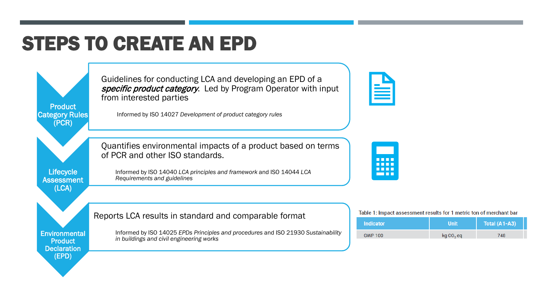## STEPS TO CREATE AN EPD

**Product** Category Rules (PCR)

Guidelines for conducting LCA and developing an EPD of a specific product category. Led by Program Operator with input from interested parties

Informed by ISO 14027 *Development of product category rules*

Quantifies environmental impacts of a product based on terms of PCR and other ISO standards.

Informed by ISO 14025 *EPDs Principles and procedures* and ISO 21930 *Sustainability* 

**Lifecycle Assessment** (LCA)

Informed by ISO 14040 *LCA principles and framework* and ISO 14044 *LCA Requirements and guidelines*

Table 1: Impact assessment results for 1 metric ton of merchant bar

| <b>Indicator</b> | Unit                  | Total (A1-A3) |  |
|------------------|-----------------------|---------------|--|
| <b>GWP 100</b>   | kg CO <sub>2</sub> eq | 748           |  |

Reports LCA results in standard and comparable format

*in buildings and civil engineering works*

**Environmental Product Declaration** (EPD)



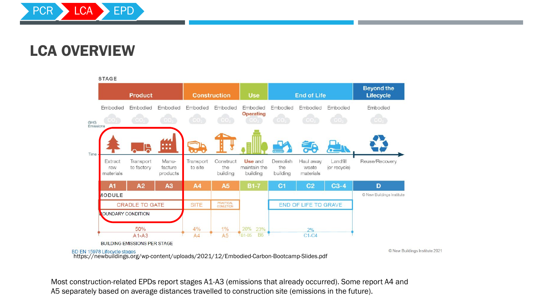

### LCA OVERVIEW



https://newbuildings.org/wp-content/uploads/2021/12/Embodied-Carbon-Bootcamp-Slides.pdf

© New Buildings Institute 2021

Most construction-related EPDs report stages A1-A3 (emissions that already occurred). Some report A4 and A5 separately based on average distances travelled to construction site (emissions in the future).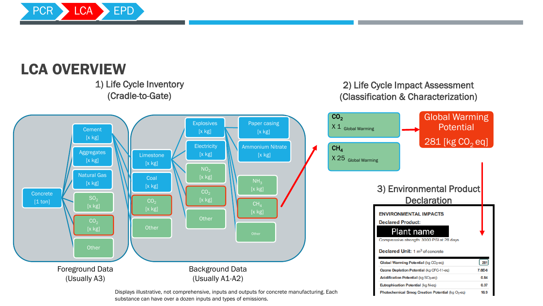

### LCA OVERVIEW

1) Life Cycle Inventory (Cradle-to-Gate)



#### Displays illustrative, not comprehensive, inputs and outputs for concrete manufacturing. Each substance can have over a dozen inputs and types of emissions.

#### 2) Life Cycle Impact Assessment (Classification & Characterization)

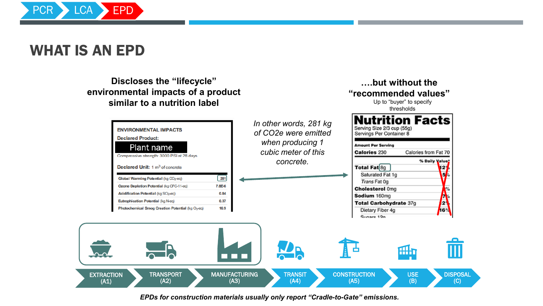

### WHAT IS AN EPD

**Discloses the "lifecycle" environmental impacts of a product similar to a nutrition label**



**….but without the "recommended values"**

Up to "buyer" to specify

*EPDs for construction materials usually only report "Cradle-to-Gate" emissions.*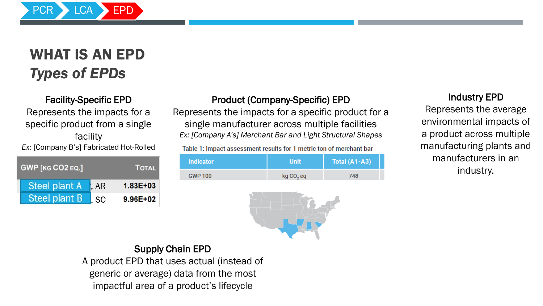

## WHAT IS AN EPD *Types of EPDs*

#### Facility-Specific EPD

Represents the impacts for a specific product from a single facility *Ex:* [Company B's] Fabricated Hot-Rolled

| <b>GWP [KG CO2 EQ.]</b> |       | <b>TOTAL</b> |
|-------------------------|-------|--------------|
| <b>Steel plant A</b>    | l. AR | $1.83E + 03$ |
| Steel plant B           | l SC  | 9.96E+02     |

#### Product (Company-Specific) EPD

Represents the impacts for a specific product for a single manufacturer across multiple facilities *Ex: [Company A's] Merchant Bar and Light Structural Shapes*

Table 1: Impact assessment results for 1 metric ton of merchant bar

| <b>Indicator</b> | <b>Unit</b>           | Total $(A1-A3)$ |
|------------------|-----------------------|-----------------|
| <b>GWP 100</b>   | kg CO <sub>2</sub> eq | 748             |



#### Industry EPD

Represents the average environmental impacts of a product across multiple manufacturing plants and manufacturers in an industry.

#### Supply Chain EPD A product EPD that uses actual (instead of generic or average) data from the most impactful area of a product's lifecycle